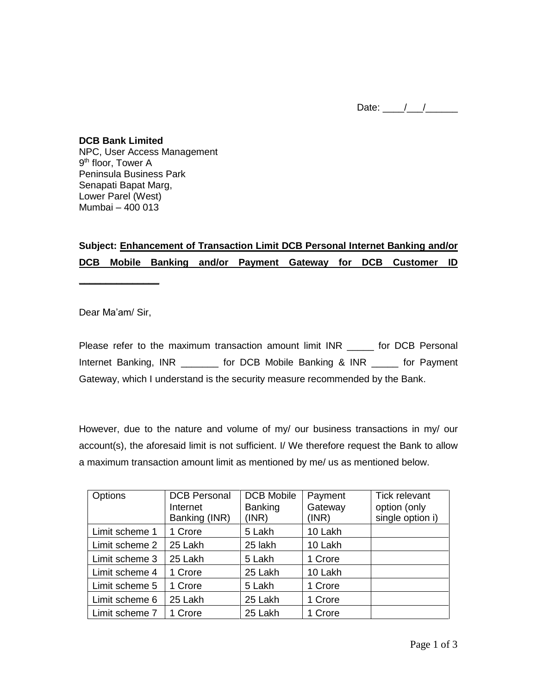Date:  $\frac{1}{2}$  /  $\frac{1}{2}$ 

**DCB Bank Limited** NPC, User Access Management 9<sup>th</sup> floor, Tower A Peninsula Business Park Senapati Bapat Marg, Lower Parel (West) Mumbai – 400 013

## **Subject: Enhancement of Transaction Limit DCB Personal Internet Banking and/or DCB Mobile Banking and/or Payment Gateway for DCB Customer ID**

Dear Ma'am/ Sir,

**\_\_\_\_\_\_\_\_\_\_\_\_\_\_\_**

Please refer to the maximum transaction amount limit INR \_\_\_\_\_ for DCB Personal Internet Banking, INR \_\_\_\_\_\_\_ for DCB Mobile Banking & INR \_\_\_\_\_ for Payment Gateway, which I understand is the security measure recommended by the Bank.

However, due to the nature and volume of my/ our business transactions in my/ our account(s), the aforesaid limit is not sufficient. I/ We therefore request the Bank to allow a maximum transaction amount limit as mentioned by me/ us as mentioned below.

| Options        | <b>DCB Personal</b><br>Internet<br>Banking (INR) | <b>DCB Mobile</b><br><b>Banking</b><br>(INR) | Payment<br>Gateway<br>(INR) | <b>Tick relevant</b><br>option (only<br>single option i) |
|----------------|--------------------------------------------------|----------------------------------------------|-----------------------------|----------------------------------------------------------|
| Limit scheme 1 | 1 Crore                                          | 5 Lakh                                       | 10 Lakh                     |                                                          |
| Limit scheme 2 | 25 Lakh                                          | 25 lakh                                      | 10 Lakh                     |                                                          |
| Limit scheme 3 | 25 Lakh                                          | 5 Lakh                                       | 1 Crore                     |                                                          |
| Limit scheme 4 | 1 Crore                                          | 25 Lakh                                      | 10 Lakh                     |                                                          |
| Limit scheme 5 | 1 Crore                                          | 5 Lakh                                       | 1 Crore                     |                                                          |
| Limit scheme 6 | 25 Lakh                                          | 25 Lakh                                      | 1 Crore                     |                                                          |
| Limit scheme 7 | 1 Crore                                          | 25 Lakh                                      | 1 Crore                     |                                                          |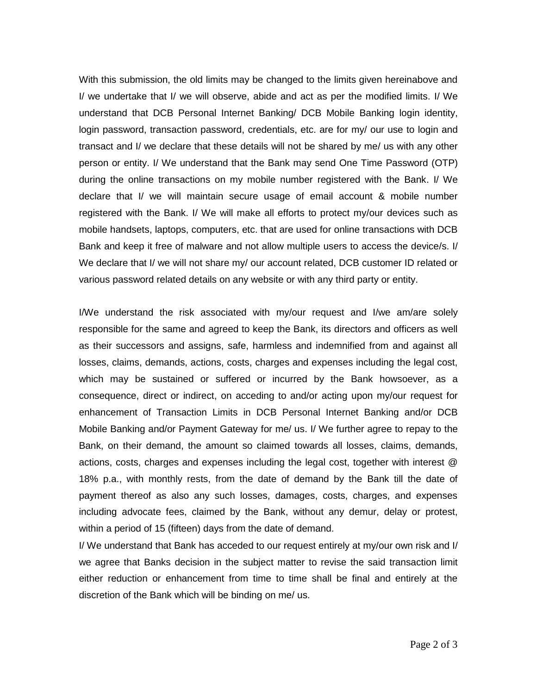With this submission, the old limits may be changed to the limits given hereinabove and I/ we undertake that I/ we will observe, abide and act as per the modified limits. I/ We understand that DCB Personal Internet Banking/ DCB Mobile Banking login identity, login password, transaction password, credentials, etc. are for my/ our use to login and transact and I/ we declare that these details will not be shared by me/ us with any other person or entity. I/ We understand that the Bank may send One Time Password (OTP) during the online transactions on my mobile number registered with the Bank. I/ We declare that I/ we will maintain secure usage of email account & mobile number registered with the Bank. I/ We will make all efforts to protect my/our devices such as mobile handsets, laptops, computers, etc. that are used for online transactions with DCB Bank and keep it free of malware and not allow multiple users to access the device/s. I/ We declare that I/ we will not share my/ our account related, DCB customer ID related or various password related details on any website or with any third party or entity.

I/We understand the risk associated with my/our request and I/we am/are solely responsible for the same and agreed to keep the Bank, its directors and officers as well as their successors and assigns, safe, harmless and indemnified from and against all losses, claims, demands, actions, costs, charges and expenses including the legal cost, which may be sustained or suffered or incurred by the Bank howsoever, as a consequence, direct or indirect, on acceding to and/or acting upon my/our request for enhancement of Transaction Limits in DCB Personal Internet Banking and/or DCB Mobile Banking and/or Payment Gateway for me/ us. I/ We further agree to repay to the Bank, on their demand, the amount so claimed towards all losses, claims, demands, actions, costs, charges and expenses including the legal cost, together with interest @ 18% p.a., with monthly rests, from the date of demand by the Bank till the date of payment thereof as also any such losses, damages, costs, charges, and expenses including advocate fees, claimed by the Bank, without any demur, delay or protest, within a period of 15 (fifteen) days from the date of demand.

I/ We understand that Bank has acceded to our request entirely at my/our own risk and I/ we agree that Banks decision in the subject matter to revise the said transaction limit either reduction or enhancement from time to time shall be final and entirely at the discretion of the Bank which will be binding on me/ us.